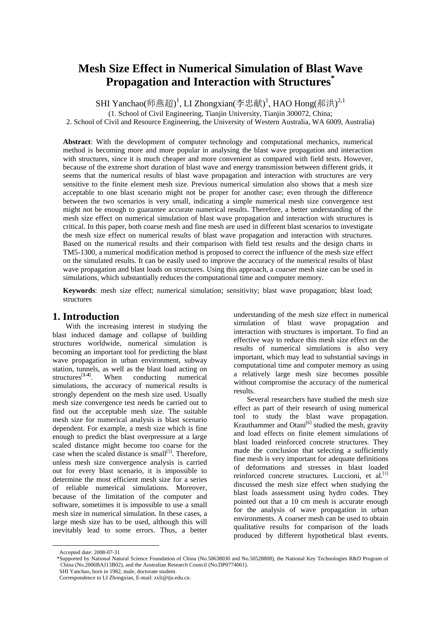# **Mesh Size Effect in Numerical Simulation of Blast Wave Propagation and Interaction with Structures\***

SHI Yanchao(师燕超)<sup>1</sup>, LI Zhongxian(李忠献)<sup>1</sup>, HAO Hong(郝洪)<sup>2,1</sup>

(1. School of Civil Engineering, Tianjin University, Tianjin 300072, China;

2. School of Civil and Resource Engineering, the University of Western Australia, WA 6009, Australia)

**Abstract**: With the development of computer technology and computational mechanics, numerical method is becoming more and more popular in analysing the blast wave propagation and interaction with structures, since it is much cheaper and more convenient as compared with field tests. However, because of the extreme short duration of blast wave and energy transmission between different grids, it seems that the numerical results of blast wave propagation and interaction with structures are very sensitive to the finite element mesh size. Previous numerical simulation also shows that a mesh size acceptable to one blast scenario might not be proper for another case; even through the difference between the two scenarios is very small, indicating a simple numerical mesh size convergence test might not be enough to guarantee accurate numerical results. Therefore, a better understanding of the mesh size effect on numerical simulation of blast wave propagation and interaction with structures is critical. In this paper, both coarse mesh and fine mesh are used in different blast scenarios to investigate the mesh size effect on numerical results of blast wave propagation and interaction with structures. Based on the numerical results and their comparison with field test results and the design charts in TM5-1300, a numerical modification method is proposed to correct the influence of the mesh size effect on the simulated results. It can be easily used to improve the accuracy of the numerical results of blast wave propagation and blast loads on structures. Using this approach, a coarser mesh size can be used in simulations, which substantially reduces the computational time and computer memory.

**Keywords**: mesh size effect; numerical simulation; sensitivity; blast wave propagation; blast load; structures

## **1. Introduction**

With the increasing interest in studying the blast induced damage and collapse of building structures worldwide, numerical simulation is becoming an important tool for predicting the blast wave propagation in urban environment, subway station, tunnels, as well as the blast load acting on structures<sup>[1-4]</sup>. . When conducting numerical simulations, the accuracy of numerical results is strongly dependent on the mesh size used. Usually mesh size convergence test needs be carried out to find out the acceptable mesh size. The suitable mesh size for numerical analysis is blast scenario dependent. For example, a mesh size which is fine enough to predict the blast overpressure at a large scaled distance might become too coarse for the case when the scaled distance is small $[5]$ . Therefore, unless mesh size convergence analysis is carried out for every blast scenario, it is impossible to determine the most efficient mesh size for a series of reliable numerical simulations. Moreover, because of the limitation of the computer and software, sometimes it is impossible to use a small mesh size in numerical simulation. In these cases, a large mesh size has to be used, although this will inevitably lead to some errors. Thus, a better

understanding of the mesh size effect in numerical simulation of blast wave propagation and interaction with structures is important. To find an effective way to reduce this mesh size effect on the results of numerical simulations is also very important, which may lead to substantial savings in computational time and computer memory as using a relatively large mesh size becomes possible without compromise the accuracy of the numerical results.

Several researchers have studied the mesh size effect as part of their research of using numerical tool to study the blast wave propagation. Krauthammer and Otani $^{[6]}$  studied the mesh, gravity and load effects on finite element simulations of blast loaded reinforced concrete structures. They made the conclusion that selecting a sufficiently fine mesh is very important for adequate definitions of deformations and stresses in blast loaded reinforced concrete structures. Luccioni, et al.<sup>[1]</sup> discussed the mesh size effect when studying the blast loads assessment using hydro codes. They pointed out that a 10 cm mesh is accurate enough for the analysis of wave propagation in urban environments. A coarser mesh can be used to obtain qualitative results for comparison of the loads produced by different hypothetical blast events.

-

Accepted date: 2008-07-31

 <sup>\*</sup>Supported by National Natural Science Foundation of China (No.50638030 and No.50528808), the National Key Technologies R&D Program of China (No.2006BAJ13B02), and the Australian Research Council (No.DP0774061).

SHI Yanchao, born in 1982, male, doctorate student.

Correspondence to LI Zhongxian, E-mail: zxli@tju.edu.cn.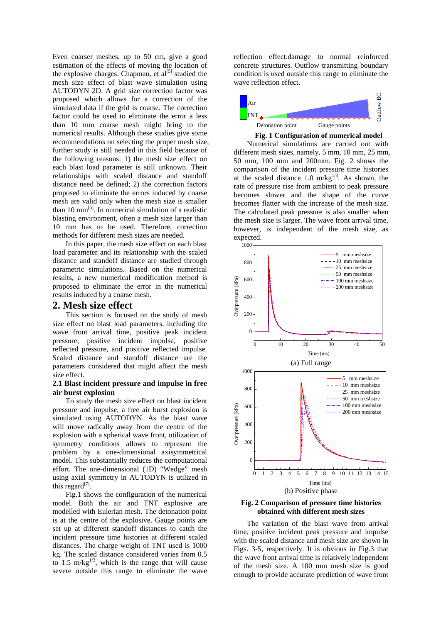Even coarser meshes, up to 50 cm, give a good estimation of the effects of moving the location of the explosive charges. Chapman, et  $al^{[5]}$  studied the mesh size effect of blast wave simulation using AUTODYN 2D. A grid size correction factor was proposed which allows for a correction of the simulated data if the grid is coarse. The correction factor could be used to eliminate the error a less than 10 mm coarse mesh might bring to the numerical results. Although these studies give some recommendations on selecting the proper mesh size, further study is still needed in this field because of the following reasons: 1) the mesh size effect on each blast load parameter is still unknown. Their relationships with scaled distance and standoff distance need be defined; 2) the correction factors proposed to eliminate the errors induced by coarse mesh are valid only when the mesh size is smaller than 10  $mm^{[5]}$ . In numerical simulation of a realistic blasting environment, often a mesh size larger than 10 mm has to be used. Therefore, correction methods for different mesh sizes are needed.

In this paper, the mesh size effect on each blast load parameter and its relationship with the scaled distance and standoff distance are studied through parametric simulations. Based on the numerical results, a new numerical modification method is proposed to eliminate the error in the numerical results induced by a coarse mesh.

### **2. Mesh size effect**

This section is focused on the study of mesh size effect on blast load parameters, including the wave front arrival time, positive peak incident pressure, positive incident impulse, positive reflected pressure, and positive reflected impulse. Scaled distance and standoff distance are the parameters considered that might affect the mesh size effect.

#### **2.1 Blast incident pressure and impulse in free air burst explosion**

To study the mesh size effect on blast incident pressure and impulse, a free air burst explosion is simulated using AUTODYN. As the blast wave will move radically away from the centre of the explosion with a spherical wave front, utilization of symmetry conditions allows to represent the problem by a one-dimensional axisymmetrical model. This substantially reduces the computational effort. The one-dimensional (1D) "Wedge" mesh using axial symmetry in AUTODYN is utilized in this regard[**7**] .

Fig.1 shows the configuration of the numerical model. Both the air and TNT explosive are modelled with Eulerian mesh. The detonation point is at the centre of the explosive. Gauge points are set up at different standoff distances to catch the incident pressure time histories at different scaled distances. The charge weight of TNT used is 1000 kg. The scaled distance considered varies from 0.5 to 1.5 m/kg<sup>1/3</sup>, which is the range that will cause severe outside this range to eliminate the wave

reflection effect.damage to normal reinforced concrete structures. Outflow transmitting boundary condition is used outside this range to eliminate the wave reflection effect.



**Fig. 1 Configuration of numerical model** 

Numerical simulations are carried out with different mesh sizes, namely, 5 mm, 10 mm, 25 mm, 50 mm, 100 mm and 200mm. Fig. 2 shows the comparison of the incident pressure time histories at the scaled distance 1.0  $m/kg^{1/3}$ . As shown, the rate of pressure rise from ambient to peak pressure becomes slower and the shape of the curve becomes flatter with the increase of the mesh size. The calculated peak pressure is also smaller when the mesh size is larger. The wave front arrival time, however, is independent of the mesh size, as expected.



**Fig. 2 Comparison of pressure time histories obtained with different mesh sizes**

The variation of the blast wave front arrival time, positive incident peak pressure and impulse with the scaled distance and mesh size are shown in Figs. 3-5, respectively. It is obvious in Fig.3 that the wave front arrival time is relatively independent of the mesh size. A 100 mm mesh size is good enough to provide accurate prediction of wave front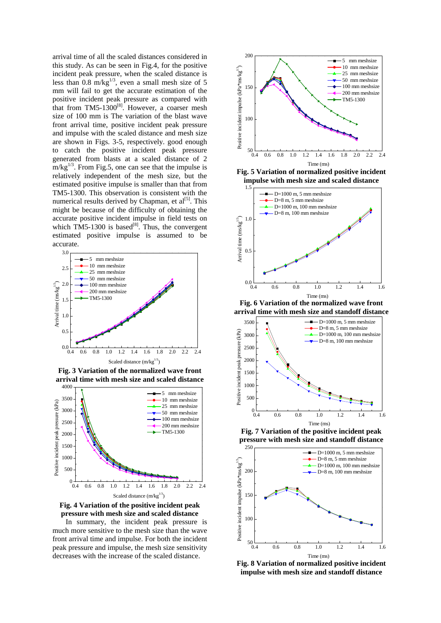arrival time of all the scaled distances considered in this study. As can be seen in Fig.4, for the positive incident peak pressure, when the scaled distance is less than 0.8 m/kg<sup>1/3</sup>, even a small mesh size of 5 mm will fail to get the accurate estimation of the positive incident peak pressure as compared with that from TM5-1300 $^{[8]}$ . However, a coarser mesh size of 100 mm is The variation of the blast wave front arrival time, positive incident peak pressure and impulse with the scaled distance and mesh size are shown in Figs. 3-5, respectively. good enough to catch the positive incident peak pressure generated from blasts at a scaled distance of 2  $m/kg^{1/3}$ . From Fig.5, one can see that the impulse is relatively independent of the mesh size, but the estimated positive impulse is smaller than that from TM5-1300. This observation is consistent with the numerical results derived by Chapman, et  $al^{[5]}$ . This might be because of the difficulty of obtaining the accurate positive incident impulse in field tests on which  $T\overline{M}$ 5-1300 is based<sup>[8]</sup>. Thus, the convergent estimated positive impulse is assumed to be accurate.



**Fig. 3 Variation of the normalized wave front arrival time with mesh size and scaled distance** 



**Fig. 4 Variation of the positive incident peak pressure with mesh size and scaled distance** 

In summary, the incident peak pressure is much more sensitive to the mesh size than the wave front arrival time and impulse. For both the incident peak pressure and impulse, the mesh size sensitivity decreases with the increase of the scaled distance.



**Fig. 5 Variation of normalized positive incident impulse with mesh size and scaled distance** 



**Fig. 6 Variation of the normalized wave front arrival time with mesh size and standoff distance** 



**Fig. 7 Variation of the positive incident peak pressure with mesh size and standoff distance** 



**Fig. 8 Variation of normalized positive incident impulse with mesh size and standoff distance**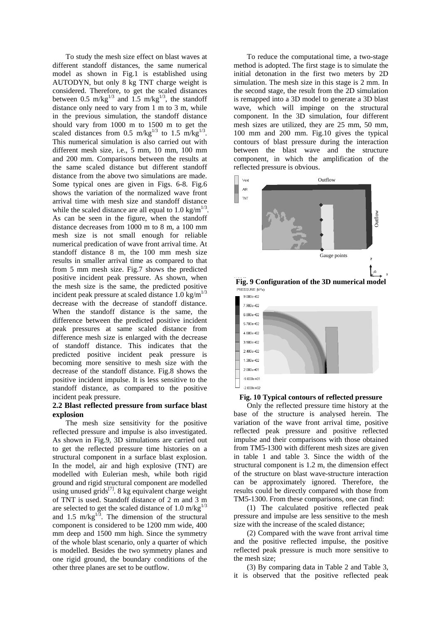To study the mesh size effect on blast waves at different standoff distances, the same numerical model as shown in Fig.1 is established using AUTODYN, but only 8 kg TNT charge weight is considered. Therefore, to get the scaled distances between 0.5 m/kg<sup>1/3</sup> and 1.5 m/kg<sup>1/3</sup>, the standoff distance only need to vary from 1 m to 3 m, while in the previous simulation, the standoff distance should vary from 1000 m to 1500 m to get the scaled distances from 0.5 m/kg<sup>1/3</sup> to 1.5 m/kg<sup>1/3</sup>. This numerical simulation is also carried out with different mesh size, i.e., 5 mm, 10 mm, 100 mm and 200 mm. Comparisons between the results at the same scaled distance but different standoff distance from the above two simulations are made. Some typical ones are given in Figs. 6-8. Fig.6 shows the variation of the normalized wave front arrival time with mesh size and standoff distance while the scaled distance are all equal to 1.0 kg/m<sup>1/3</sup>. As can be seen in the figure, when the standoff distance decreases from 1000 m to 8 m, a 100 mm mesh size is not small enough for reliable numerical predication of wave front arrival time. At standoff distance 8 m, the 100 mm mesh size results in smaller arrival time as compared to that from 5 mm mesh size. Fig.7 shows the predicted positive incident peak pressure. As shown, when the mesh size is the same, the predicted positive incident peak pressure at scaled distance  $1.0 \text{ kg/m}^{1/3}$ decrease with the decrease of standoff distance. When the standoff distance is the same, the difference between the predicted positive incident peak pressures at same scaled distance from difference mesh size is enlarged with the decrease of standoff distance. This indicates that the predicted positive incident peak pressure is becoming more sensitive to mesh size with the decrease of the standoff distance. Fig.8 shows the positive incident impulse. It is less sensitive to the standoff distance, as compared to the positive incident peak pressure.

#### **2.2 Blast reflected pressure from surface blast explosion**

The mesh size sensitivity for the positive reflected pressure and impulse is also investigated. As shown in Fig.9, 3D simulations are carried out to get the reflected pressure time histories on a structural component in a surface blast explosion. In the model, air and high explosive (TNT) are modelled with Eulerian mesh, while both rigid ground and rigid structural component are modelled using unused grids $^{[7]}$ . 8 kg equivalent charge weight of TNT is used. Standoff distance of 2 m and 3 m are selected to get the scaled distance of 1.0 m/kg<sup>1/3</sup> and 1.5 m/kg $^{1/3}$ . The dimension of the structural component is considered to be 1200 mm wide, 400 mm deep and 1500 mm high. Since the symmetry of the whole blast scenario, only a quarter of which is modelled. Besides the two symmetry planes and one rigid ground, the boundary conditions of the other three planes are set to be outflow.

To reduce the computational time, a two-stage method is adopted. The first stage is to simulate the initial detonation in the first two meters by 2D simulation. The mesh size in this stage is 2 mm. In the second stage, the result from the 2D simulation is remapped into a 3D model to generate a 3D blast wave, which will impinge on the structural component. In the 3D simulation, four different mesh sizes are utilized, they are 25 mm, 50 mm, 100 mm and 200 mm. Fig.10 gives the typical contours of blast pressure during the interaction between the blast wave and the structure component, in which the amplification of the reflected pressure is obvious.





#### **Fig. 10 Typical contours of reflected pressure**

Only the reflected pressure time history at the base of the structure is analysed herein. The variation of the wave front arrival time, positive reflected peak pressure and positive reflected impulse and their comparisons with those obtained from TM5-1300 with different mesh sizes are given in table 1 and table 3. Since the width of the structural component is 1.2 m, the dimension effect of the structure on blast wave-structure interaction can be approximately ignored. Therefore, the results could be directly compared with those from TM5-1300. From these comparisons, one can find:

(1) The calculated positive reflected peak pressure and impulse are less sensitive to the mesh size with the increase of the scaled distance;

(2) Compared with the wave front arrival time and the positive reflected impulse, the positive reflected peak pressure is much more sensitive to the mesh size;

(3) By comparing data in Table 2 and Table 3, it is observed that the positive reflected peak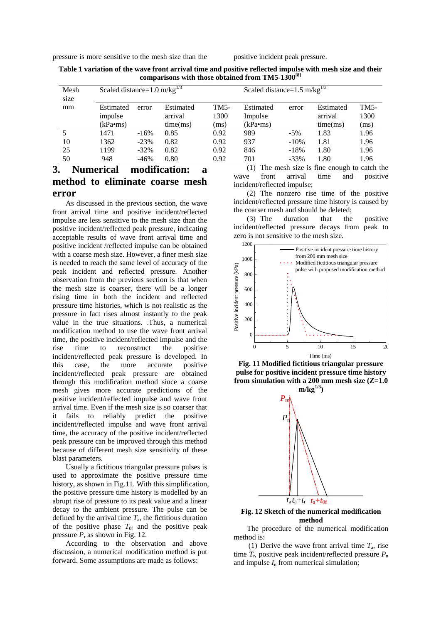pressure is more sensitive to the mesh size than the positive incident peak pressure.

| comparisons with alost obtained from Thie Teop |                                           |        |                      |              |                                           |        |                      |              |  |
|------------------------------------------------|-------------------------------------------|--------|----------------------|--------------|-------------------------------------------|--------|----------------------|--------------|--|
| Mesh<br>size                                   | Scaled distance= $1.0 \text{ m/kg}^{1/3}$ |        |                      |              | Scaled distance= $1.5 \text{ m/kg}^{1/3}$ |        |                      |              |  |
| mm                                             | Estimated<br>impulse                      | error  | Estimated<br>arrival | TM5-<br>1300 | Estimated<br>Impulse                      | error  | Estimated<br>arrival | TM5-<br>1300 |  |
|                                                | (kPa•ms)                                  |        | time(ms)             | (ms)         | $(kPa \cdot ms)$                          |        | time(ms)             | (ms)         |  |
|                                                | 1471                                      | $-16%$ | 0.85                 | 0.92         | 989                                       | $-5\%$ | 1.83                 | 1.96         |  |
| 10                                             | 1362                                      | $-23%$ | 0.82                 | 0.92         | 937                                       | $-10%$ | 1.81                 | 1.96         |  |

25 1199 -32% 0.82 0.92 846 -18% 1.80 1.96 50 948 -46% 0.80 0.92 701 -33% 1.80 1.96

**Table 1 variation of the wave front arrival time and positive reflected impulse with mesh size and their comparisons with those obtained from TM5-1300[8]**

# **3. Numerical modification: a method to eliminate coarse mesh error**

As discussed in the previous section, the wave front arrival time and positive incident/reflected impulse are less sensitive to the mesh size than the positive incident/reflected peak pressure, indicating acceptable results of wave front arrival time and positive incident /reflected impulse can be obtained with a coarse mesh size. However, a finer mesh size is needed to reach the same level of accuracy of the peak incident and reflected pressure. Another observation from the previous section is that when the mesh size is coarser, there will be a longer rising time in both the incident and reflected pressure time histories, which is not realistic as the pressure in fact rises almost instantly to the peak value in the true situations. .Thus, a numerical modification method to use the wave front arrival time, the positive incident/reflected impulse and the rise time to reconstruct the positive incident/reflected peak pressure is developed. In this case, the more accurate positive incident/reflected peak pressure are obtained through this modification method since a coarse mesh gives more accurate predictions of the positive incident/reflected impulse and wave front arrival time. Even if the mesh size is so coarser that it fails to reliably predict the positive incident/reflected impulse and wave front arrival time, the accuracy of the positive incident/reflected peak pressure can be improved through this method because of different mesh size sensitivity of these blast parameters.

Usually a fictitious triangular pressure pulses is used to approximate the positive pressure time history, as shown in Fig.11. With this simplification, the positive pressure time history is modelled by an abrupt rise of pressure to its peak value and a linear decay to the ambient pressure. The pulse can be defined by the arrival time  $T_a$ , the fictitious duration of the positive phase  $T_{0f}$  and the positive peak pressure *P*, as shown in Fig. 12.

According to the observation and above discussion, a numerical modification method is put forward. Some assumptions are made as follows:

(1) The mesh size is fine enough to catch the wave front arrival time and positive incident/reflected impulse;

(2) The nonzero rise time of the positive incident/reflected pressure time history is caused by the coarser mesh and should be deleted;

(3) The duration that the positive incident/reflected pressure decays from peak to zero is not sensitive to the mesh size.



**Fig. 11 Modified fictitious triangular pressure pulse for positive incident pressure time history from simulation with a 200 mm mesh size (Z=1.0**   $m/kg^{1/3}$ 



**Fig. 12 Sketch of the numerical modification method** 

The procedure of the numerical modification method is:

(1) Derive the wave front arrival time  $T_a$ , rise time  $T_r$ , positive peak incident/reflected pressure  $P_n$ and impulse  $I_n$  from numerical simulation;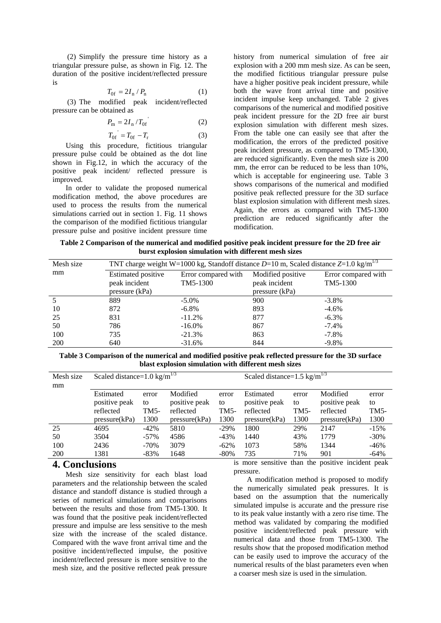(2) Simplify the pressure time history as a triangular pressure pulse, as shown in Fig. 12. The duration of the positive incident/reflected pressure is

$$
T_{0f} = 2I_n / P_n \tag{1}
$$

(3) The modified peak incident/reflected pressure can be obtained as

$$
P_{\rm m} = 2I_{\rm n}/T_{\rm 0f} \tag{2}
$$

 $T_{0f} = T_{0f} - T_r$  (3)

Using this procedure, fictitious triangular pressure pulse could be obtained as the dot line shown in Fig.12, in which the accuracy of the positive peak incident/ reflected pressure is improved.

In order to validate the proposed numerical modification method, the above procedures are used to process the results from the numerical simulations carried out in section 1. Fig. 11 shows the comparison of the modified fictitious triangular pressure pulse and positive incident pressure time history from numerical simulation of free air explosion with a 200 mm mesh size. As can be seen, the modified fictitious triangular pressure pulse have a higher positive peak incident pressure, while both the wave front arrival time and positive incident impulse keep unchanged. Table 2 gives comparisons of the numerical and modified positive peak incident pressure for the 2D free air burst explosion simulation with different mesh sizes. From the table one can easily see that after the modification, the errors of the predicted positive peak incident pressure, as compared to TM5-1300, are reduced significantly. Even the mesh size is 200 mm, the error can be reduced to be less than 10%, which is acceptable for engineering use. Table 3 shows comparisons of the numerical and modified positive peak reflected pressure for the 3D surface blast explosion simulation with different mesh sizes. Again, the errors as compared with TM5-1300 prediction are reduced significantly after the modification.

**Table 2 Comparison of the numerical and modified positive peak incident pressure for the 2D free air burst explosion simulation with different mesh sizes** 

| Mesh size  | TNT charge weight W=1000 kg, Standoff distance $D=10$ m, Scaled distance $Z=1.0$ kg/m <sup>1/3</sup> |                     |                   |                     |  |  |  |
|------------|------------------------------------------------------------------------------------------------------|---------------------|-------------------|---------------------|--|--|--|
| mm         | Estimated positive                                                                                   | Error compared with | Modified positive | Error compared with |  |  |  |
|            | peak incident                                                                                        | TM5-1300            | peak incident     | TM5-1300            |  |  |  |
|            | pressure (kPa)                                                                                       |                     | pressure (kPa)    |                     |  |  |  |
|            | 889                                                                                                  | $-5.0\%$            | 900               | $-3.8\%$            |  |  |  |
| 10         | 872                                                                                                  | $-6.8\%$            | 893               | $-4.6\%$            |  |  |  |
| 25         | 831                                                                                                  | $-11.2%$            | 877               | $-6.3\%$            |  |  |  |
| 50         | 786                                                                                                  | $-16.0\%$           | 867               | $-7.4\%$            |  |  |  |
| 100        | 735                                                                                                  | $-21.3%$            | 863               | $-7.8\%$            |  |  |  |
| <b>200</b> | 640                                                                                                  | $-31.6%$            | 844               | $-9.8%$             |  |  |  |

**Table 3 Comparison of the numerical and modified positive peak reflected pressure for the 3D surface blast explosion simulation with different mesh sizes** 

| Mesh size<br>mm | Scaled distance= $1.0 \text{ kg/m}^{1/3}$ |         |               |        | Scaled distance= $1.5 \text{ kg/m}^{1/3}$ |       |               |         |
|-----------------|-------------------------------------------|---------|---------------|--------|-------------------------------------------|-------|---------------|---------|
|                 | Estimated                                 | error   | Modified      | error  | Estimated                                 | error | Modified      | error   |
|                 | positive peak                             | to      | positive peak | to     | positive peak                             | to    | positive peak | to      |
|                 | reflected                                 | TM5-    | reflected     | TM5-   | reflected                                 | TM5-  | reflected     | TM5-    |
|                 | pressure(kPa)                             | 1300    | pressure(kPa) | 1300   | pressure(kPa)                             | 1300  | pressure(kPa) | 1300    |
| 25              | 4695                                      | $-42%$  | 5810          | $-29%$ | 1800                                      | 29%   | 2147          | $-15%$  |
| 50              | 3504                                      | $-57\%$ | 4586          | $-43%$ | 1440                                      | 43%   | 1779          | $-30\%$ |
| 100             | 2436                                      | $-70%$  | 3079          | $-62%$ | 1073                                      | 58%   | 1344          | $-46%$  |
| 200             | 1381                                      | $-83%$  | 1648          | $-80%$ | 735                                       | 71%   | 901           | $-64%$  |

### **4. Conclusions**

Mesh size sensitivity for each blast load parameters and the relationship between the scaled distance and standoff distance is studied through a series of numerical simulations and comparisons between the results and those from TM5-1300. It was found that the positive peak incident/reflected pressure and impulse are less sensitive to the mesh size with the increase of the scaled distance. Compared with the wave front arrival time and the positive incident/reflected impulse, the positive incident/reflected pressure is more sensitive to the mesh size, and the positive reflected peak pressure is more sensitive than the positive incident peak pressure.

A modification method is proposed to modify the numerically simulated peak pressures. It is based on the assumption that the numerically simulated impulse is accurate and the pressure rise to its peak value instantly with a zero rise time. The method was validated by comparing the modified positive incident/reflected peak pressure with numerical data and those from TM5-1300. The results show that the proposed modification method can be easily used to improve the accuracy of the numerical results of the blast parameters even when a coarser mesh size is used in the simulation.